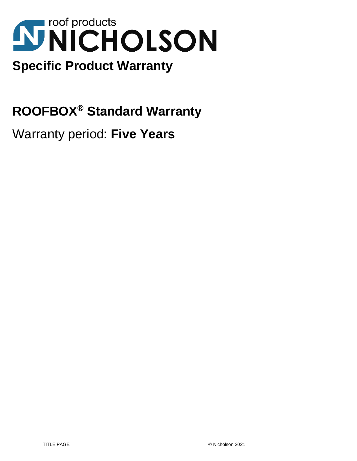# **NICHOLSON Specific Product Warranty**

**ROOFBOX® Standard Warranty**

Warranty period: **Five Years**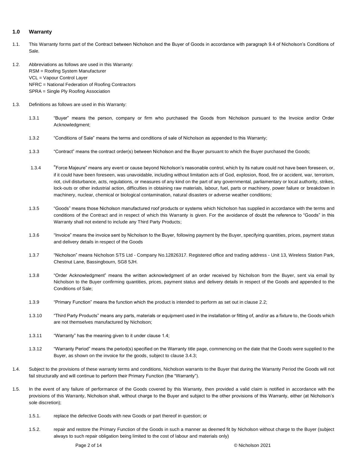# **1.0 Warranty**

- 1.1. This Warranty forms part of the Contract between Nicholson and the Buyer of Goods in accordance with paragraph 9.4 of Nicholson's Conditions of Sale.
- 1.2. Abbreviations as follows are used in this Warranty: RSM = Roofing System Manufacturer VCL = Vapour Control Layer NFRC = National Federation of Roofing Contractors SPRA = Single Ply Roofing Association
- 1.3. Definitions as follows are used in this Warranty:
	- 1.3.1 "Buyer" means the person, company or firm who purchased the Goods from Nicholson pursuant to the Invoice and/or Order Acknowledgment;
	- 1.3.2 "Conditions of Sale" means the terms and conditions of sale of Nicholson as appended to this Warranty;
	- 1.3.3 "Contract" means the contract order(s) between Nicholson and the Buyer pursuant to which the Buyer purchased the Goods;
	- 1.3.4 "Force Majeure" means any event or cause beyond Nicholson's reasonable control, which by its nature could not have been foreseen, or, if it could have been foreseen, was unavoidable, including without limitation acts of God, explosion, flood, fire or accident, war, terrorism, riot, civil disturbance, acts, regulations, or measures of any kind on the part of any governmental, parliamentary or local authority, strikes, lock-outs or other industrial action, difficulties in obtaining raw materials, labour, fuel, parts or machinery, power failure or breakdown in machinery, nuclear, chemical or biological contamination, natural disasters or adverse weather conditions;
	- 1.3.5 "Goods" means those Nicholson manufactured roof products or systems which Nicholson has supplied in accordance with the terms and conditions of the Contract and in respect of which this Warranty is given. For the avoidance of doubt the reference to "Goods" in this Warranty shall not extend to include any Third Party Products;
	- 1.3.6 "Invoice" means the invoice sent by Nicholson to the Buyer, following payment by the Buyer, specifying quantities, prices, payment status and delivery details in respect of the Goods
	- 1.3.7 "Nicholson" means Nicholson STS Ltd Company No.12826317. Registered office and trading address Unit 13, Wireless Station Park, Chestnut Lane, Bassingbourn, SG8 5JH.
	- 1.3.8 "Order Acknowledgment" means the written acknowledgment of an order received by Nicholson from the Buyer, sent via email by Nicholson to the Buyer confirming quantities, prices, payment status and delivery details in respect of the Goods and appended to the Conditions of Sale;
	- 1.3.9 "Primary Function" means the function which the product is intended to perform as set out in clause 2.2;
	- 1.3.10 "Third Party Products" means any parts, materials or equipment used in the installation or fitting of, and/or as a fixture to, the Goods which are not themselves manufactured by Nicholson;
	- 1.3.11 "Warranty" has the meaning given to it under clause 1.4;
	- 1.3.12 "Warranty Period" means the period(s) specified on the Warranty title page, commencing on the date that the Goods were supplied to the Buyer, as shown on the invoice for the goods, subject to clause 3.4.3;
- 1.4. Subject to the provisions of these warranty terms and conditions, Nicholson warrants to the Buyer that during the Warranty Period the Goods will not fail structurally and will continue to perform their Primary Function (the "Warranty").
- 1.5. In the event of any failure of performance of the Goods covered by this Warranty, then provided a valid claim is notified in accordance with the provisions of this Warranty, Nicholson shall, without charge to the Buyer and subject to the other provisions of this Warranty, either (at Nicholson's sole discretion);
	- 1.5.1. replace the defective Goods with new Goods or part thereof in question; or
	- 1.5.2. repair and restore the Primary Function of the Goods in such a manner as deemed fit by Nicholson without charge to the Buyer (subject always to such repair obligation being limited to the cost of labour and materials only)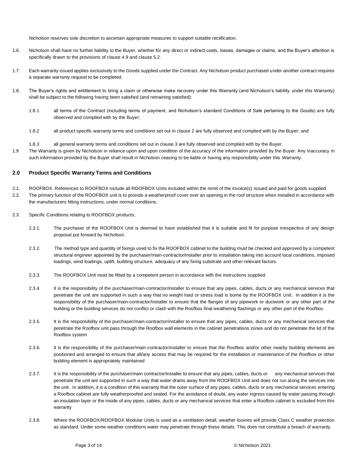Nicholson reserves sole discretion to ascertain appropriate measures to support suitable rectification.

- 1.6. Nicholson shall have no further liability to the Buyer, whether for any direct or indirect costs, losses, damages or claims, and the Buyer's attention is specifically drawn to the provisions of clause 4.9 and clause 5.2.
- 1.7. Each warranty issued applies exclusively to the Goods supplied under the Contract. Any Nicholson product purchased under another contract requires a separate warranty request to be completed.
- 1.8. The Buyer's rights and entitlement to bring a claim or otherwise make recovery under this Warranty (and Nicholson's liability under this Warranty) shall be subject to the following having been satisfied (and remaining satisfied):
	- 1.8.1 all terms of the Contract (including terms of payment, and Nicholson's standard Conditions of Sale pertaining to the Goods) are fully observed and complied with by the Buyer;
	- 1.8.2 all product specific warranty terms and conditions set out in clause 2 are fully observed and complied with by the Buyer; and
	- 1.8.3 all general warranty terms and conditions set out in clause 3 are fully observed and complied with by the Buyer.
- 1.9 The Warranty is given by Nicholson in reliance upon and upon condition of the accuracy of the information provided by the Buyer. Any inaccuracy in such information provided by the Buyer shall result in Nicholson ceasing to be liable or having any responsibility under this Warranty.

# **2.0 Product Specific Warranty Terms and Conditions**

- 2.1. ROOFBOX. References to ROOFBOX include all ROOFBOX Units included within the remit of the invoice(s) issued and paid for goods supplied
- 2.2. The primary function of the ROOFBOX unit is to provide a weatherproof cover over an opening in the roof structure when installed in accordance with the manufacturers fitting instructions, under normal conditions.
- 2.3. Specific Conditions relating to ROOFBOX products;
	- 2.3.1. The purchaser of the ROOFBOX Unit is deemed to have established that it is suitable and fit for purpose irrespective of any design proposal put forward by Nicholson.
	- 2.3.2. The method type and quantity of fixings used to fix the ROOFBOX cabinet to the building must be checked and approved by a competent structural engineer appointed by the purchaser/main-contractor/installer prior to installation taking into account local conditions, imposed loadings, wind loadings, uplift, building structure, adequacy of any fixing substrate and other relevant factors.
	- 2.3.3. The ROOFBOX Unit must be fitted by a competent person in accordance with the instructions supplied.
	- 2.3.4. It is the responsibility of the purchaser/main-contractor/installer to ensure that any pipes, cables, ducts or any mechanical services that penetrate the unit are supported in such a way that no weight load or stress load is borne by the ROOFBOX Unit. In addition it is the responsibility of the purchaser/main-contractor/installer to ensure that the flanges of any pipework or ductwork or any other part of the building or the building services do not conflict or clash with the Roofbox final weathering flashings or any other part of the Roofbox
	- 2.3.5. It is the responsibility of the purchaser/main-contractor/installer to ensure that any pipes, cables, ducts or any mechanical services that penetrate the Roofbox unit pass through the Roofbox wall elements in the cabinet penetrations zones and do not penetrate the lid of the Roofbox system
	- 2.3.6. It is the responsibility of the purchaser/main-contractor/installer to ensure that the Roofbox and/or other nearby building elements are positioned and arranged to ensure that all/any access that may be required for the installation or maintenance of the Roofbox or other building element is appropriately maintained
	- 2.3.7. It is the responsibility of the purchaser/main contractor/installer to ensure that any pipes, cables, ducts or any mechanical services that penetrate the unit are supported in such a way that water drains away from the ROOFBOX Unit and does not run along the services into the unit. In addition, it is a condition of this warranty that the outer surface of any pipes, cables, ducts or any mechanical services entering a Roofbox cabinet are fully weatherproofed and sealed. For the avoidance of doubt, any water ingress caused by water passing through an insulation layer or the inside of any pipes, cables, ducts or any mechanical services that enter a Roofbox cabinet is excluded from this warranty
	- 2.3.8. Where the ROOFBOX/ROOFBOX Modular Units is used as a ventilation detail, weather louvres will provide Class C weather protection as standard. Under some weather conditions water may penetrate through these details. This does not constitute a breach of warranty.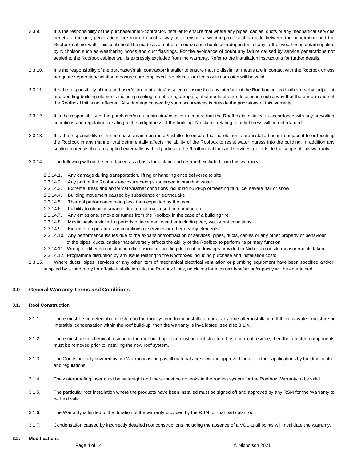- 2.3.9. It is the responsibility of the purchaser/main-contractor/installer to ensure that where any pipes, cables, ducts or any mechanical services penetrate the unit, penetrations are made in such a way as to ensure a weatherproof seal is made between the penetration and the Roofbox cabinet wall. This seal should be made as a matter of course and should be independent of any further weathering detail supplied by Nicholson such as weathering hoods and duct flashings. For the avoidance of doubt any failure caused by service penetrations not sealed to the Roofbox cabinet wall is expressly excluded from the warranty. Refer to the installation instructions for further details.
- 2.3.10. It is the responsibility of the purchaser/main contractor/ installer to ensure that no dissimilar metals are in contact with the Roofbox unless adequate separation/isolation measures are employed. No claims for electrolytic corrosion will be valid.
- 2.3.11. It is the responsibility of the purchaser/main-contractor/installer to ensure that any interface of the Roofbox unit with other nearby, adjacent and abutting building elements including roofing membrane, parapets, abutments etc are detailed in such a way that the performance of the Roofbox Unit is not affected. Any damage caused by such occurrences is outside the provisions of this warranty.
- 2.3.12. It is the responsibility of the purchaser/main-contractor/installer to ensure that the Roofbox is installed in accordance with any prevailing conditions and regulations relating to the airtightness of the building. No claims relating to airtightness will be entertained.
- 2.3.13. It is the responsibility of the purchaser/main-contractor/installer to ensure that no elements are installed near to adjacent to or touching the Roofbox in any manner that detrimentally affects the ability of the Roofbox to resist water ingress into the building. In addition any sealing materials that are applied externally by third parties to the Roofbox cabinet and services are outside the scope of this warranty
- 2.3.14. The following will not be entertained as a basis for a claim and deemed excluded from this warranty:
	- 2.3.14.1. Any damage during transportation, lifting or handling once delivered to site
	- 2.3.14.2. Any part of the Roofbox enclosure being submerged in standing water
	- 2.3.14.3. Extreme, freak and abnormal weather conditions including build-up of freezing rain, ice, severe hail or snow
	- 2.3.14.4. Building movement caused by subsidence or earthquake
	- 2.3.14.5. Thermal performance being less than expected by the user
	- 2.3.14.6. Inability to obtain insurance due to materials used in manufacture
	- 2.3.14.7. Any emissions, smoke or fumes from the Roofbox in the case of a building fire
	- 2.3.14.8. Mastic seals installed in periods of inclement weather including very wet or hot conditions
	- 2.3.14.9. Extreme temperatures or conditions of services or other nearby elements
	- 2.3.14.10. Any performance issues due to the expansion/contraction of services, pipes, ducts, cables or any other property or behaviour of the pipes, ducts, cables that adversely affects the ability of the Roofbox to perform its primary function
	- 2.3.14.11. Wrong or differing construction dimensions of building different to drawings provided to Nicholson or site measurements taken
	- 2.3.14.12. Programme disruption by any issue relating to the Roofboxes including purchase and installation costs
- 2.3.15. Where ducts, pipes, services or any other item of mechanical electrical ventilation or plumbing equipment have been specified and/or supplied by a third party for off-site installation into the Roofbox Units, no claims for incorrect type/sizing/capacity will be entertained

# **3.0 General Warranty Terms and Conditions**

#### **3.1. Roof Construction**

- 3.1.1. There must be no detectable moisture in the roof system during installation or at any time after installation. If there is water, moisture or interstitial condensation within the roof build-up, then the warranty is invalidated, see also 3.1.4.
- 3.1.2. There must be no chemical residue in the roof build up. If an existing roof structure has chemical residue, then the affected components must be removed prior to installing the new roof system.
- 3.1.3. The Goods are fully covered by our Warranty as long as all materials are new and approved for use in their applications by building control and regulations.
- 3.1.4. The waterproofing layer must be watertight and there must be no leaks in the roofing system for the Roofbox Warranty to be valid.
- 3.1.5. The particular roof installation where the products have been installed must be signed off and approved by any RSM for the Warranty to be held valid.
- 3.1.6. The Warranty is limited to the duration of the warranty provided by the RSM for that particular roof.
- 3.1.7. Condensation caused by incorrectly detailed roof constructions including the absence of a VCL at all points will invalidate the warranty.

# **3.2. Modifications**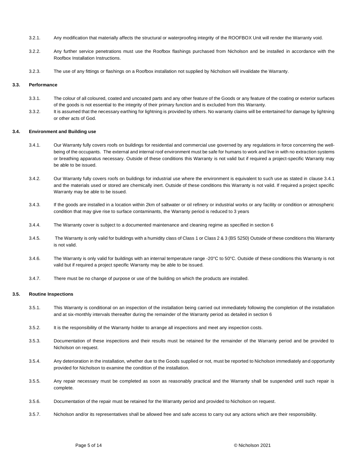- 3.2.1. Any modification that materially affects the structural or waterproofing integrity of the ROOFBOX Unit will render the Warranty void.
- 3.2.2. Any further service penetrations must use the Roofbox flashings purchased from Nicholson and be installed in accordance with the Roofbox Installation Instructions.
- 3.2.3. The use of any fittings or flashings on a Roofbox installation not supplied by Nicholson will invalidate the Warranty.

#### **3.3. Performance**

- 3.3.1. The colour of all coloured, coated and uncoated parts and any other feature of the Goods or any feature of the coating or exterior surfaces of the goods is not essential to the integrity of their primary function and is excluded from this Warranty.
- 3.3.2. It is assumed that the necessary earthing for lightning is provided by others. No warranty claims will be entertained for damage by lightning or other acts of God.

## **3.4. Environment and Building use**

- 3.4.1. Our Warranty fully covers roofs on buildings for residential and commercial use governed by any regulations in force concerning the wellbeing of the occupants. The external and internal roof environment must be safe for humans to work and live in with no extraction systems or breathing apparatus necessary. Outside of these conditions this Warranty is not valid but if required a project-specific Warranty may be able to be issued.
- 3.4.2. Our Warranty fully covers roofs on buildings for industrial use where the environment is equivalent to such use as stated in clause 3.4.1 and the materials used or stored are chemically inert. Outside of these conditions this Warranty is not valid. If required a project specific Warranty may be able to be issued.
- 3.4.3. If the goods are installed in a location within 2km of saltwater or oil refinery or industrial works or any facility or condition or atmospheric condition that may give rise to surface contaminants, the Warranty period is reduced to 3 years
- 3.4.4. The Warranty cover is subject to a documented maintenance and cleaning regime as specified in section 6
- 3.4.5. The Warranty is only valid for buildings with a humidity class of Class 1 or Class 2 & 3 (BS 5250) Outside of these conditions this Warranty is not valid.
- 3.4.6. The Warranty is only valid for buildings with an internal temperature range -20°C to 50°C. Outside of these conditions this Warranty is not valid but if required a project specific Warranty may be able to be issued.
- 3.4.7. There must be no change of purpose or use of the building on which the products are installed.

# **3.5. Routine Inspections**

- 3.5.1. This Warranty is conditional on an inspection of the installation being carried out immediately following the completion of the installation and at six-monthly intervals thereafter during the remainder of the Warranty period as detailed in section 6
- 3.5.2. It is the responsibility of the Warranty holder to arrange all inspections and meet any inspection costs.
- 3.5.3. Documentation of these inspections and their results must be retained for the remainder of the Warranty period and be provided to Nicholson on request.
- 3.5.4. Any deterioration in the installation, whether due to the Goods supplied or not, must be reported to Nicholson immediately and opportunity provided for Nicholson to examine the condition of the installation.
- 3.5.5. Any repair necessary must be completed as soon as reasonably practical and the Warranty shall be suspended until such repair is complete.
- 3.5.6. Documentation of the repair must be retained for the Warranty period and provided to Nicholson on request.
- 3.5.7. Nicholson and/or its representatives shall be allowed free and safe access to carry out any actions which are their responsibility.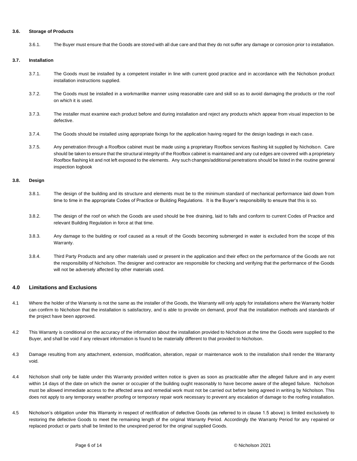## **3.6. Storage of Products**

3.6.1. The Buyer must ensure that the Goods are stored with all due care and that they do not suffer any damage or corrosion prior to installation.

## **3.7. Installation**

- 3.7.1. The Goods must be installed by a competent installer in line with current good practice and in accordance with the Nicholson product installation instructions supplied.
- 3.7.2. The Goods must be installed in a workmanlike manner using reasonable care and skill so as to avoid damaging the products or the roof on which it is used.
- 3.7.3. The installer must examine each product before and during installation and reject any products which appear from visual inspection to be defective.
- 3.7.4. The Goods should be installed using appropriate fixings for the application having regard for the design loadings in each case.
- 3.7.5. Any penetration through a Roofbox cabinet must be made using a proprietary Roofbox services flashing kit supplied by Nicholson. Care should be taken to ensure that the structural integrity of the Roofbox cabinet is maintained and any cut edges are covered with a proprietary Roofbox flashing kit and not left exposed to the elements. Any such changes/additional penetrations should be listed in the routine general inspection logbook

# **3.8. Design**

- 3.8.1. The design of the building and its structure and elements must be to the minimum standard of mechanical performance laid down from time to time in the appropriate Codes of Practice or Building Regulations. It is the Buyer's responsibility to ensure that this is so.
- 3.8.2. The design of the roof on which the Goods are used should be free draining, laid to falls and conform to current Codes of Practice and relevant Building Regulation in force at that time.
- 3.8.3. Any damage to the building or roof caused as a result of the Goods becoming submerged in water is excluded from the scope of this Warranty.
- 3.8.4. Third Party Products and any other materials used or present in the application and their effect on the performance of the Goods are not the responsibility of Nicholson. The designer and contractor are responsible for checking and verifying that the performance of the Goods will not be adversely affected by other materials used.

## **4.0 Limitations and Exclusions**

- 4.1 Where the holder of the Warranty is not the same as the installer of the Goods, the Warranty will only apply for installations where the Warranty holder can confirm to Nicholson that the installation is satisfactory, and is able to provide on demand, proof that the installation methods and standards of the project have been approved.
- 4.2 This Warranty is conditional on the accuracy of the information about the installation provided to Nicholson at the time the Goods were supplied to the Buyer, and shall be void if any relevant information is found to be materially different to that provided to Nicholson.
- 4.3 Damage resulting from any attachment, extension, modification, alteration, repair or maintenance work to the installation shall render the Warranty void.
- 4.4 Nicholson shall only be liable under this Warranty provided written notice is given as soon as practicable after the alleged failure and in any event within 14 days of the date on which the owner or occupier of the building ought reasonably to have become aware of the alleged failure. Nicholson must be allowed immediate access to the affected area and remedial work must not be carried out before being agreed in writing by Nicholson. This does not apply to any temporary weather proofing or temporary repair work necessary to prevent any escalation of damage to the roofing installation.
- 4.5 Nicholson's obligation under this Warranty in respect of rectification of defective Goods (as referred to in clause 1.5 above) is limited exclusively to restoring the defective Goods to meet the remaining length of the original Warranty Period. Accordingly the Warranty Period for any repaired or replaced product or parts shall be limited to the unexpired period for the original supplied Goods.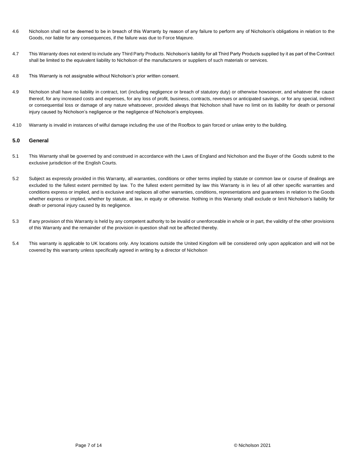- 4.6 Nicholson shall not be deemed to be in breach of this Warranty by reason of any failure to perform any of Nicholson's obligations in relation to the Goods, nor liable for any consequences, if the failure was due to Force Majeure.
- 4.7 This Warranty does not extend to include any Third Party Products. Nicholson's liability for all Third Party Products supplied by it as part of the Contract shall be limited to the equivalent liability to Nicholson of the manufacturers or suppliers of such materials or services.
- 4.8 This Warranty is not assignable without Nicholson's prior written consent.
- 4.9 Nicholson shall have no liability in contract, tort (including negligence or breach of statutory duty) or otherwise howsoever, and whatever the cause thereof, for any increased costs and expenses, for any loss of profit, business, contracts, revenues or anticipated savings, or for any special, indirect or consequential loss or damage of any nature whatsoever, provided always that Nicholson shall have no limit on its liability for death or personal injury caused by Nicholson's negligence or the negligence of Nicholson's employees.
- 4.10 Warranty is invalid in instances of wilful damage including the use of the Roofbox to gain forced or unlaw entry to the building.

# **5.0 General**

- 5.1 This Warranty shall be governed by and construed in accordance with the Laws of England and Nicholson and the Buyer of the Goods submit to the exclusive jurisdiction of the English Courts.
- 5.2 Subject as expressly provided in this Warranty, all warranties, conditions or other terms implied by statute or common law or course of dealings are excluded to the fullest extent permitted by law. To the fullest extent permitted by law this Warranty is in lieu of all other specific warranties and conditions express or implied, and is exclusive and replaces all other warranties, conditions, representations and guarantees in relation to the Goods whether express or implied, whether by statute, at law, in equity or otherwise. Nothing in this Warranty shall exclude or limit Nicholson's liability for death or personal injury caused by its negligence.
- 5.3 If any provision of this Warranty is held by any competent authority to be invalid or unenforceable in whole or in part, the validity of the other provisions of this Warranty and the remainder of the provision in question shall not be affected thereby.
- 5.4 This warranty is applicable to UK locations only. Any locations outside the United Kingdom will be considered only upon application and will not be covered by this warranty unless specifically agreed in writing by a director of Nicholson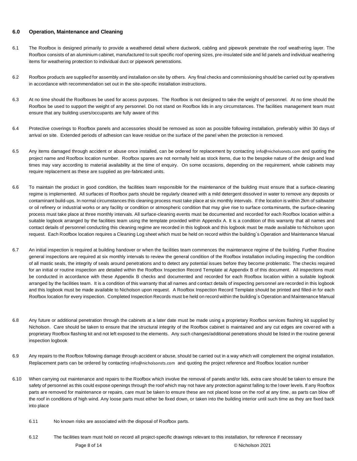# **6.0 Operation, Maintenance and Cleaning**

- 6.1 The Roofbox is designed primarily to provide a weathered detail where ductwork, cabling and pipework penetrate the roof weathering layer. The Roofbox consists of an aluminium cabinet, manufactured to suit specific roof opening sizes, pre-insulated side and lid panels and individual weathering items for weathering protection to individual duct or pipework penetrations.
- 6.2 Roofbox products are supplied for assembly and installation on site by others. Any final checks and commissioning should be carried out by operatives in accordance with recommendation set out in the site-specific installation instructions.
- 6.3 At no time should the Roofboxes be used for access purposes. The Roofbox is not designed to take the weight of personnel. At no time should the Roofbox be used to support the weight of any personnel. Do not stand on Roofbox lids in any circumstances. The facilities management team must ensure that any building users/occupants are fully aware of this
- 6.4 Protective coverings to Roofbox panels and accessories should be removed as soon as possible following installation, preferably within 30 days of arrival on site. Extended periods of adhesion can leave residue on the surface of the panel when the protection is removed.
- 6.5 Any items damaged through accident or abuse once installed, can be ordered for replacement by contacting [info@nicholsonsts.com](mailto:info@nicholsonsts.com) and quoting the project name and Roofbox location number. Roofbox spares are not normally held as stock items, due to the bespoke nature of the design and lead times may vary according to material availability at the time of enquiry. On some occasions, depending on the requirement, whole cabinets may require replacement as these are supplied as pre-fabricated units.
- 6.6 To maintain the product in good condition, the facilities team responsible for the maintenance of the building must ensure that a surface-cleaning regime is implemented. All surfaces of Roofbox parts should be regularly cleaned with a mild detergent dissolved in water to remove any deposits or contaminant build-ups. In normal circumstances this cleaning process must take place at six monthly intervals. If the location is within 2km of saltwater or oil refinery or industrial works or any facility or condition or atmospheric condition that may give rise to surface contaminants, the surface-cleaning process must take place at three monthly intervals. All surface-cleaning events must be documented and recorded for each Roofbox location within a suitable logbook arranged by the facilities team using the template provided within Appendix A. It is a condition of this warranty that all names and contact details of personnel conducting this cleaning regime are recorded in this logbook and this logbook must be made available to Nicholson upon request. Each Roofbox location requires a Cleaning Log sheet which must be held on record within the building`s Operation and Maintenance Manual
- 6.7 An initial inspection is required at building handover or when the facilities team commences the maintenance regime of the building. Further Routine general inspections are required at six monthly intervals to review the general condition of the Roofbox installation including inspecting the condition of all mastic seals, the integrity of seals around penetrations and to detect any potential issues before they become problematic. The checks required for an initial or routine inspection are detailed within the Roofbox Inspection Record Template at Appendix B of this document. All inspections must be conducted in accordance with these Appendix B checks and documented and recorded for each Roofbox location within a suitable logbook arranged by the facilities team. It is a condition of this warranty that all names and contact details of inspecting personnel are recorded in this logbook and this logbook must be made available to Nicholson upon request. A Roofbox Inspection Record Template should be printed and filled-in for each Roofbox location for every inspection. Completed Inspection Records must be held on record within the building`s Operation and Maintenance Manual
- 6.8 Any future or additional penetration through the cabinets at a later date must be made using a proprietary Roofbox services flashing kit supplied by Nicholson. Care should be taken to ensure that the structural integrity of the Roofbox cabinet is maintained and any cut edges are covered with a proprietary Roofbox flashing kit and not left exposed to the elements. Any such changes/additional penetrations should be listed in the routine general inspection logbook
- 6.9 Any repairs to the Roofbox following damage through accident or abuse, should be carried out in a way which will complement the original installation. Replacement parts can be ordered by contacting [info@nicholsonsts.com](mailto:info@nicholsonsts.com) and quoting the project reference and Roofbox location number
- 6.10 When carrying out maintenance and repairs to the Roofbox which involve the removal of panels and/or lids, extra care should be taken to ensure the safety of personnel as this could expose openings through the roof which may not have any protection against falling to the lower levels. If any Roofbox parts are removed for maintenance or repairs, care must be taken to ensure these are not placed loose on the roof at any time, as parts can blow off the roof in conditions of high wind. Any loose parts must either be fixed down, or taken into the building interior until such time as they are fixed back into place
	- 6.11 No known risks are associated with the disposal of Roofbox parts.
	- Page 8 of 14 **Decision 2021** Contract Contract Contract Contract Contract Contract Contract Contract Contract Contract Contract Contract Contract Contract Contract Contract Contract Contract Contract Contract Contract Cont 6.12 The facilities team must hold on record all project-specific drawings relevant to this installation, for reference if necessary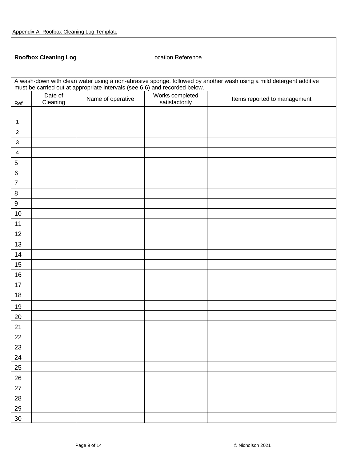ŗ

|                                                                                                                                                                                                  | <b>Roofbox Cleaning Log</b> |                   | Location Reference |                              |  |
|--------------------------------------------------------------------------------------------------------------------------------------------------------------------------------------------------|-----------------------------|-------------------|--------------------|------------------------------|--|
| A wash-down with clean water using a non-abrasive sponge, followed by another wash using a mild detergent additive<br>must be carried out at appropriate intervals (see 6.6) and recorded below. |                             |                   |                    |                              |  |
|                                                                                                                                                                                                  | Date of                     |                   | Works completed    |                              |  |
| Ref                                                                                                                                                                                              | Cleaning                    | Name of operative | satisfactorily     | Items reported to management |  |
|                                                                                                                                                                                                  |                             |                   |                    |                              |  |
| $\mathbf 1$                                                                                                                                                                                      |                             |                   |                    |                              |  |
| $\overline{c}$                                                                                                                                                                                   |                             |                   |                    |                              |  |
| $\mathbf{3}$                                                                                                                                                                                     |                             |                   |                    |                              |  |
| $\overline{\mathbf{4}}$                                                                                                                                                                          |                             |                   |                    |                              |  |
| $\overline{5}$                                                                                                                                                                                   |                             |                   |                    |                              |  |
| $\,6$                                                                                                                                                                                            |                             |                   |                    |                              |  |
| $\overline{7}$                                                                                                                                                                                   |                             |                   |                    |                              |  |
| $\,8\,$                                                                                                                                                                                          |                             |                   |                    |                              |  |
| $\boldsymbol{9}$                                                                                                                                                                                 |                             |                   |                    |                              |  |
| 10                                                                                                                                                                                               |                             |                   |                    |                              |  |
| 11                                                                                                                                                                                               |                             |                   |                    |                              |  |
| 12                                                                                                                                                                                               |                             |                   |                    |                              |  |
| 13                                                                                                                                                                                               |                             |                   |                    |                              |  |
| 14                                                                                                                                                                                               |                             |                   |                    |                              |  |
| 15                                                                                                                                                                                               |                             |                   |                    |                              |  |
| 16                                                                                                                                                                                               |                             |                   |                    |                              |  |
| 17                                                                                                                                                                                               |                             |                   |                    |                              |  |
| 18                                                                                                                                                                                               |                             |                   |                    |                              |  |
| 19                                                                                                                                                                                               |                             |                   |                    |                              |  |
| 20                                                                                                                                                                                               |                             |                   |                    |                              |  |
| 21                                                                                                                                                                                               |                             |                   |                    |                              |  |
| 22                                                                                                                                                                                               |                             |                   |                    |                              |  |
| 23                                                                                                                                                                                               |                             |                   |                    |                              |  |
| 24                                                                                                                                                                                               |                             |                   |                    |                              |  |
| 25                                                                                                                                                                                               |                             |                   |                    |                              |  |
| 26                                                                                                                                                                                               |                             |                   |                    |                              |  |
| $27\,$                                                                                                                                                                                           |                             |                   |                    |                              |  |
| 28                                                                                                                                                                                               |                             |                   |                    |                              |  |
| 29                                                                                                                                                                                               |                             |                   |                    |                              |  |
| $30\,$                                                                                                                                                                                           |                             |                   |                    |                              |  |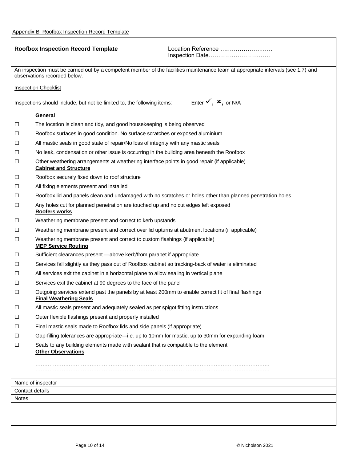ŗ

| <b>Roofbox Inspection Record Template</b>                                                                                                                         |                                                                                                                                      | Location Reference<br>Inspection Date      |  |  |  |
|-------------------------------------------------------------------------------------------------------------------------------------------------------------------|--------------------------------------------------------------------------------------------------------------------------------------|--------------------------------------------|--|--|--|
|                                                                                                                                                                   |                                                                                                                                      |                                            |  |  |  |
| An inspection must be carried out by a competent member of the facilities maintenance team at appropriate intervals (see 1.7) and<br>observations recorded below. |                                                                                                                                      |                                            |  |  |  |
|                                                                                                                                                                   | <b>Inspection Checklist</b>                                                                                                          |                                            |  |  |  |
|                                                                                                                                                                   | Inspections should include, but not be limited to, the following items:                                                              | Enter $\checkmark$ , $\checkmark$ , or N/A |  |  |  |
|                                                                                                                                                                   | General                                                                                                                              |                                            |  |  |  |
| $\Box$                                                                                                                                                            | The location is clean and tidy, and good housekeeping is being observed                                                              |                                            |  |  |  |
| □                                                                                                                                                                 | Roofbox surfaces in good condition. No surface scratches or exposed aluminium                                                        |                                            |  |  |  |
| □                                                                                                                                                                 | All mastic seals in good state of repair/No loss of integrity with any mastic seals                                                  |                                            |  |  |  |
| □                                                                                                                                                                 | No leak, condensation or other issue is occurring in the building area beneath the Roofbox                                           |                                            |  |  |  |
| $\Box$                                                                                                                                                            | Other weathering arrangements at weathering interface points in good repair (if applicable)<br><b>Cabinet and Structure</b>          |                                            |  |  |  |
| Ц                                                                                                                                                                 | Roofbox securely fixed down to roof structure                                                                                        |                                            |  |  |  |
| □                                                                                                                                                                 | All fixing elements present and installed                                                                                            |                                            |  |  |  |
| □                                                                                                                                                                 | Roofbox lid and panels clean and undamaged with no scratches or holes other than planned penetration holes                           |                                            |  |  |  |
| □                                                                                                                                                                 | Any holes cut for planned penetration are touched up and no cut edges left exposed<br><b>Roofers works</b>                           |                                            |  |  |  |
| ⊔                                                                                                                                                                 | Weathering membrane present and correct to kerb upstands                                                                             |                                            |  |  |  |
| $\Box$                                                                                                                                                            | Weathering membrane present and correct over lid upturns at abutment locations (if applicable)                                       |                                            |  |  |  |
| $\Box$                                                                                                                                                            | Weathering membrane present and correct to custom flashings (if applicable)<br><b>MEP Service Routing</b>                            |                                            |  |  |  |
| □                                                                                                                                                                 | Sufficient clearances present -above kerb/from parapet if appropriate                                                                |                                            |  |  |  |
| ⊔                                                                                                                                                                 | Services fall slightly as they pass out of Roofbox cabinet so tracking-back of water is eliminated                                   |                                            |  |  |  |
| □                                                                                                                                                                 | All services exit the cabinet in a horizontal plane to allow sealing in vertical plane                                               |                                            |  |  |  |
| □                                                                                                                                                                 | Services exit the cabinet at 90 degrees to the face of the panel                                                                     |                                            |  |  |  |
| □                                                                                                                                                                 | Outgoing services extend past the panels by at least 200mm to enable correct fit of final flashings<br><b>Final Weathering Seals</b> |                                            |  |  |  |
| □                                                                                                                                                                 | All mastic seals present and adequately sealed as per spigot fitting instructions                                                    |                                            |  |  |  |
| ⊔                                                                                                                                                                 | Outer flexible flashings present and properly installed                                                                              |                                            |  |  |  |
| □                                                                                                                                                                 | Final mastic seals made to Roofbox lids and side panels (if appropriate)                                                             |                                            |  |  |  |
| ⊔                                                                                                                                                                 | Gap-filling tolerances are appropriate—i.e. up to 10mm for mastic, up to 30mm for expanding foam                                     |                                            |  |  |  |
| □                                                                                                                                                                 | Seals to any building elements made with sealant that is compatible to the element<br><b>Other Observations</b>                      |                                            |  |  |  |
|                                                                                                                                                                   |                                                                                                                                      |                                            |  |  |  |
|                                                                                                                                                                   |                                                                                                                                      |                                            |  |  |  |
| Name of inspector                                                                                                                                                 |                                                                                                                                      |                                            |  |  |  |
| Contact details                                                                                                                                                   |                                                                                                                                      |                                            |  |  |  |
| <b>Notes</b>                                                                                                                                                      |                                                                                                                                      |                                            |  |  |  |
|                                                                                                                                                                   |                                                                                                                                      |                                            |  |  |  |
|                                                                                                                                                                   |                                                                                                                                      |                                            |  |  |  |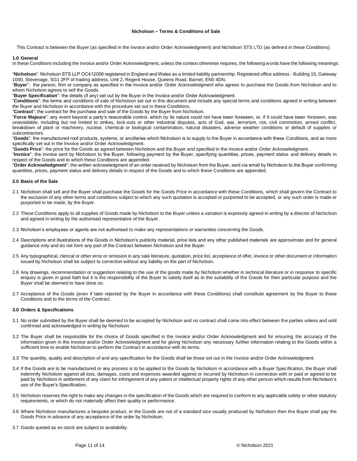## **Nicholson – Terms & Conditions of Sale**

This Contract is between the Buyer (as specified in the Invoice and/or Order Acknowledgment) and Nicholson STS LTD (as defined in these Conditions).

#### **1.0 General**

In these Conditions including the Invoice and/or Order Acknowledgment, unless the context otherwise requires, the following words have the following meanings:

"**Nicholson**": Nicholson STS LLP OC412006 registered in England and Wales as a limited liability partnership. Registered office address - Building 15, Gateway 1000, Stevenage, SG1 2FP of trading address, Unit 2, Regent House, Queens Road, Barnet, EN5 4DN.

"**Buyer**": the person, firm or company as specified in the Invoice and/or Order Acknowledgment who agrees to purchase the Goods from Nicholson and to whom Nicholson agrees to sell the Goods.

"**Buyer Specification**": the details (if any) set out by the Buyer in the Invoice and/or Order Acknowledgment.

"**Conditions**": the terms and conditions of sale of Nicholson set out in this document and include any special terms and conditions agreed in writing between the Buyer and Nicholson in accordance with the procedure set out in these Conditions.

"**Contract**": the contract for the purchase and sale of the Goods by the Buyer from Nicholson.

"**Force Majeure**": any event beyond a party's reasonable control, which by its nature could not have been foreseen, or, if it could have been foreseen, was unavoidable, including but not limited to strikes, lock-outs or other industrial disputes, acts of God, war, terrorism, riot, civil commotion, armed conflict, breakdown of plant or machinery, nuclear, chemical or biological contamination, natural disasters, adverse weather conditions or default of supplies or subcontractors.

"**Goods**": the manufactured roof products, systems, or ancillaries which Nicholson is to supply to the Buyer in accordance with these Conditions, and as more specifically set out in the Invoice and/or Order Acknowledgment.

"**Goods Price**": the price for the Goods as agreed between Nicholson and the Buyer and specified in the Invoice and/or Order Acknowledgment.

"**Invoice**": the invoice sent by Nicholson to the Buyer, following payment by the Buyer, specifying quantities, prices, payment status and delivery details in respect of the Goods and to which these Conditions are appended.

"**Order Acknowledgment**": the written acknowledgment of an order received by Nicholson from the Buyer, sent via email by Nicholson to the Buyer confirming quantities, prices, payment status and delivery details in respect of the Goods and to which these Conditions are appended.

## **2.0 Basis of the Sale**

- 2.1 Nicholson shall sell and the Buyer shall purchase the Goods for the Goods Price in accordance with these Conditions, which shall govern the Contract to the exclusion of any other terms and conditions subject to which any such quotation is accepted or purported to be accepted, or any such order is made or purported to be made, by the Buyer.
- 2.2 These Conditions apply to all supplies of Goods made by Nicholson to the Buyer unless a variation is expressly agreed in writing by a director of Nicholson and agreed in writing by the authorised representative of the Buyer.
- 2.3 Nicholson's employees or agents are not authorised to make any representations or warranties concerning the Goods.
- 2.4 Descriptions and illustrations of the Goods in Nicholson's publicity material, price lists and any other published materials are approximate and for general guidance only and do not form any part of the Contract between Nicholson and the Buyer.
- 2.5 Any typographical, clerical or other error or omission in any sale literature, quotation, price list, acceptance of offer, invoice or other document or information issued by Nicholson shall be subject to correction without any liability on the part of Nicholson.
- 2.6 Any drawings, recommendation or suggestion relating to the use of the goods made by Nicholson whether in technical literature or in response to specific enquiry is given in good faith but it is the responsibility of the Buyer to satisfy itself as to the suitability of the Goods for their particular purpose and the Buyer shall be deemed to have done so.
- 2.7 Acceptance of the Goods (even if later rejected by the Buyer in accordance with these Conditions) shall constitute agreement by the Buyer to these Conditions and to the terms of the Contract.

#### **3.0 Orders & Specifications**

- 3.1 No order submitted by the Buyer shall be deemed to be accepted by Nicholson and no contract shall come into effect between the parties unless and until confirmed and acknowledged in writing by Nicholson.
- 3.2 The Buyer shall be responsible for the choice of Goods specified in the Invoice and/or Order Acknowledgment and for ensuring the accuracy of the information given in the Invoice and/or Order Acknowledgment and for giving Nicholson any necessary further information relating to the Goods within a sufficient time to enable Nicholson to perform the Contract in accordance with its terms.
- 3.3 The quantity, quality and description of and any specification for the Goods shall be those set out in the Invoice and/or Order Acknowledgment.
- 3.4 If the Goods are to be manufactured or any process is to be applied to the Goods by Nicholson in accordance with a Buyer Specification, the Buyer shall indemnify Nicholson against all loss, damages, costs and expenses awarded against or incurred by Nicholson in connection with or paid or agreed to be paid by Nicholson in settlement of any claim for infringement of any patent or intellectual property rights of any other person which results from Nicholson's use of the Buyer's Specification.
- 3.5 Nicholson reserves the right to make any changes in the specification of the Goods which are required to conform to any applicable safety or other statutory requirements, or which do not materially affect their quality or performance.
- 3.6 Where Nicholson manufactures a bespoke product, or the Goods are not of a standard size usually produced by Nicholson then the Buyer shall pay the Goods Price in advance of any acceptance of the order by Nicholson.
- 3.7 Goods quoted as ex-stock are subject to availability.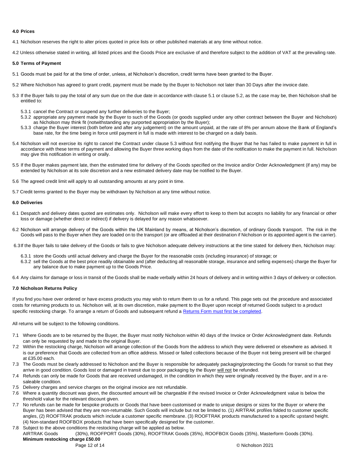#### **4.0 Prices**

4.1 Nicholson reserves the right to alter prices quoted in price lists or other published materials at any time without notice.

4.2 Unless otherwise stated in writing, all listed prices and the Goods Price are exclusive of and therefore subject to the addition of VAT at the prevailing rate.

## **5.0 Terms of Payment**

- 5.1 Goods must be paid for at the time of order, unless, at Nicholson's discretion, credit terms have been granted to the Buyer.
- 5.2 Where Nicholson has agreed to grant credit, payment must be made by the Buyer to Nicholson not later than 30 Days after the invoice date.
- 5.3 If the Buyer fails to pay the total of any sum due on the due date in accordance with clause 5.1 or clause 5.2, as the case may be, then Nicholson shall be entitled to:
	- 5.3.1 cancel the Contract or suspend any further deliveries to the Buyer;
	- 5.3.2 appropriate any payment made by the Buyer to such of the Goods (or goods supplied under any other contract between the Buyer and Nicholson) as Nicholson may think fit (notwithstanding any purported appropriation by the Buyer);
	- 5.3.3 charge the Buyer interest (both before and after any judgement) on the amount unpaid, at the rate of 8% per annum above the Bank of England's base rate, for the time being in force until payment in full is made with interest to be charged on a daily basis.
- 5.4 Nicholson will not exercise its right to cancel the Contract under clause 5.3 without first notifying the Buyer that he has failed to make payment in full in accordance with these terms of payment and allowing the Buyer three working days from the date of the notification to make the payment in full. Nicholson may give this notification in writing or orally.
- 5.5 If the Buyer makes payment late, then the estimated time for delivery of the Goods specified on the Invoice and/or Order Acknowledgment (if any) may be extended by Nicholson at its sole discretion and a new estimated delivery date may be notified to the Buyer.
- 5.6 The agreed credit limit will apply to all outstanding amounts at any point in time.
- 5.7 Credit terms granted to the Buyer may be withdrawn by Nicholson at any time without notice.

## **6.0 Deliveries**

- 6.1 Despatch and delivery dates quoted are estimates only. Nicholson will make every effort to keep to them but accepts no liability for any financial or other loss or damage (whether direct or indirect) if delivery is delayed for any reason whatsoever.
- 6.2 Nicholson will arrange delivery of the Goods within the UK Mainland by means, at Nicholson's discretion, of ordinary Goods transport. The risk in the Goods will pass to the Buyer when they are loaded on to the transport (or are offloaded at their destination if Nicholson or its appointed agent is the carrier).

6.3If the Buyer fails to take delivery of the Goods or fails to give Nicholson adequate delivery instructions at the time stated for delivery then, Nicholson may:

- 6.3.1 store the Goods until actual delivery and charge the Buyer for the reasonable costs (including insurance) of storage; or
- 6.3.2 sell the Goods at the best price readily obtainable and (after deducting all reasonable storage, insurance and selling expenses) charge the Buyer for any balance due to make payment up to the Goods Price.

6.4 Any claims for damage or loss in transit of the Goods shall be made verbally within 24 hours of delivery and in writing within 3 days of delivery or collection.

## **7.0 Nicholson Returns Policy**

If you find you have over ordered or have excess products you may wish to return them to us for a refund. This page sets out the procedure and associated costs for returning products to us. Nicholson will, at its own discretion, make payment to the Buyer upon receipt of returned Goods subject to a product specific restocking charge. To arrange a return of Goods and subsequent refund a [Returns Form must first be completed.](https://www.nicholsonsts.com/returns-request)

All returns will be subject to the following conditions.

- 7.1 Where Goods are to be returned by the Buyer, the Buyer must notify Nicholson within 40 days of the Invoice or Order Acknowledgment date. Refunds can only be requested by and made to the original Buyer.
- 7.2 Within the restocking charge, Nicholson will arrange collection of the Goods from the address to which they were delivered or elsewhere as advised. It is our preference that Goods are collected from an office address. Missed or failed collections because of the Buyer not being present will be charged at £35.00 each.
- 7.3 The Goods must be clearly addressed to Nicholson and the Buyer is responsible for adequately packaging/protecting the Goods for transit so that they arrive in good condition. Goods lost or damaged in transit due to poor packaging by the Buyer will not be refunded.
- 7.4 Refunds can only be made for Goods that are received undamaged, in the condition in which they were originally received by the Buyer, and in a resaleable condition.
- 7.5 Delivery charges and service charges on the original invoice are not refundable.
- 7.6 Where a quantity discount was given, the discounted amount will be chargeable if the revised Invoice or Order Acknowledgment value is below the threshold value for the relevant discount given.
- 7.7 No refunds can be made for bespoke products or Goods that have been customised or made to unique designs or sizes for the Buyer or where the Buyer has been advised that they are non-returnable. Such Goods will include but not be limited to. (1) AIRTRAK profiles folded to customer specific angles, (2) ROOFTRAK products which include a customer specific membrane. (3) ROOFTRAK products manufactured to a specific upstand height. (4) Non-standard ROOFBOX products that have been specifically designed for the customer.
- 7.8 Subject to the above conditions the restocking charge will be applied as below.

AIRTRAK Goods (30%), ROOFPORT Goods (30%), ROOFTRAK Goods (35%), ROOFBOX Goods (35%), Masterform Goods (30%). **Minimum restocking charge £50.00**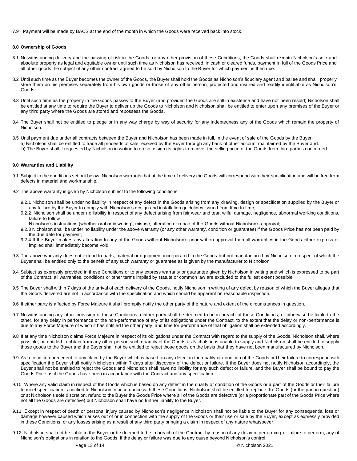7.9 Payment will be made by BACS at the end of the month in which the Goods were received back into stock.

#### **8.0 Ownership of Goods**

- 8.1 Notwithstanding delivery and the passing of risk in the Goods, or any other provision of these Conditions, the Goods shall remain Nicholson's sole and absolute property as legal and equitable owner until such time as Nicholson has received, in cash or cleared funds, payment in full of the Goods Price and all other goods the subject of any other contract agreed to be sold by Nicholson to the Buyer for which payment is then due.
- 8.2 Until such time as the Buyer becomes the owner of the Goods, the Buyer shall hold the Goods as Nicholson's fiduciary agent and bailee and shall properly store them on his premises separately from his own goods or those of any other person, protected and insured and readily identifiable as Nicholson's Goods.
- 8.3 Until such time as the property in the Goods passes to the Buyer (and provided the Goods are still in existence and have not been resold) Nicholson shall be entitled at any time to require the Buyer to deliver up the Goods to Nicholson and Nicholson shall be entitled to enter upon any premises of the Buyer or any third party where the Goods are stored and repossess the Goods.
- 8.4 The Buyer shall not be entitled to pledge or in any way charge by way of security for any indebtedness any of the Goods which remain the property of Nicholson.
- 8.5 Until payment due under all contracts between the Buyer and Nicholson has been made in full, in the event of sale of the Goods by the Buyer: a) Nicholson shall be entitled to trace all proceeds of sale received by the Buyer through any bank of other account maintained by the Buyer and: b) The Buyer shall if requested by Nicholson in writing to do so assign its rights to recover the selling price of the Goods from third parties concerned.

#### **9.0 Warranties and Liability**

- 9.1 Subject to the conditions set out below, Nicholson warrants that at the time of delivery the Goods will correspond with their specification and will be free from defects in material and workmanship.
- 9.2 The above warranty is given by Nicholson subject to the following conditions:
	- 9.2.1 Nicholson shall be under no liability in respect of any defect in the Goods arising from any drawing, design or specification supplied by the Buyer or any failure by the Buyer to comply with Nicholson's design and installation guidelines issued from time to time;
	- 9.2.2 Nicholson shall be under no liability in respect of any defect arising from fair wear and tear, wilful damage, negligence, abnormal working conditions, failure to follow
		- Nicholson's instructions (whether oral or in writing), misuse, alteration or repair of the Goods without Nicholson's approval;
	- 9.2.3 Nicholson shall be under no liability under the above warranty (or any other warranty, condition or guarantee) if the Goods Price has not been paid by the due date for payment;
	- 9.2.4 If the Buyer makes any alteration to any of the Goods without Nicholson's prior written approval then all warranties in the Goods either express or implied shall immediately become void.
- 9.3 The above warranty does not extend to parts, material or equipment incorporated in the Goods but not manufactured by Nicholson in respect of which the Buyer shall be entitled only to the benefit of any such warranty or guarantee as is given by the manufacturer to Nicholson.
- 9.4 Subject as expressly provided in these Conditions or to any express warranty or guarantee given by Nicholson in writing and which is expressed to be part of the Contract, all warranties, conditions or other terms implied by statute or common law are excluded to the fullest extent possible.
- 9.5 The Buyer shall within 7 days of the arrival of each delivery of the Goods, notify Nicholson in writing of any defect by reason of which the Buyer alleges that the Goods delivered are not in accordance with the specification and which should be apparent on reasonable inspection.
- 9.6 If either party is affected by Force Majeure it shall promptly notify the other party of the nature and extent of the circumstances in question.
- 9.7 Notwithstanding any other provision of these Conditions, neither party shall be deemed to be in breach of these Conditions, or otherwise be liable to the other, for any delay in performance or the non-performance of any of its obligations under the Contract, to the extent that the delay or non-performance is due to any Force Majeure of which it has notified the other party, and time for performance of that obligation shall be extended accordingly.
- 9.8 If at any time Nicholson claims Force Majeure in respect of its obligations under the Contract with regard to the supply of the Goods, Nicholson shall, where possible, be entitled to obtain from any other person such quantity of the Goods as Nicholson is unable to supply and Nicholson shall be entitled to supply those goods to the Buyer and the Buyer shall not be entitled to reject those goods on the basis that they have not been manufactured by Nicholson.
- 9.9 As a condition precedent to any claim by the Buyer which is based on any defect in the quality or condition of the Goods or their failure to correspond with specification the Buyer shall notify Nicholson within 7 days after discovery of the defect or failure. If the Buyer does not notify Nicholson accordingly, the Buyer shall not be entitled to reject the Goods and Nicholson shall have no liability for any such defect or failure, and the Buyer shall be bound to pay the Goods Price as if the Goods have been in accordance with the Contract and any specification.
- 9.10 Where any valid claim in respect of the Goods which is based on any defect in the quality or condition of the Goods or a part of the Goods or their failure to meet specification is notified to Nicholson in accordance with these Conditions, Nicholson shall be entitled to replace the Goods (or the part in question) or at Nicholson's sole discretion, refund to the Buyer the Goods Price where all of the Goods are defective (or a proportionate part of the Goods Price where not all the Goods are defective) but Nicholson shall have no further liability to the Buyer.
- 9.11 Except in respect of death or personal injury caused by Nicholson's negligence Nicholson shall not be liable to the Buyer for any consequential loss or damage however caused which arises out of or in connection with the supply of the Goods or their use or sale by the Buyer, except as expressly provided in these Conditions, or any losses arising as a result of any third party bringing a claim in respect of any nature whatsoever.
- 9.12 Nicholson shall not be liable to the Buyer or be deemed to be in breach of the Contract by reason of any delay in performing or failure to perform, any of Nicholson's obligations in relation to the Goods, if the delay or failure was due to any cause beyond Nicholson's control.